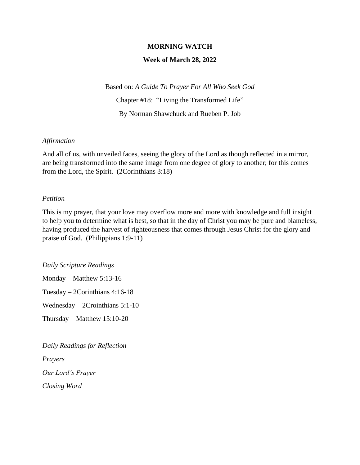### **MORNING WATCH**

### **Week of March 28, 2022**

Based on: *A Guide To Prayer For All Who Seek God* Chapter #18: "Living the Transformed Life" By Norman Shawchuck and Rueben P. Job

#### *Affirmation*

And all of us, with unveiled faces, seeing the glory of the Lord as though reflected in a mirror, are being transformed into the same image from one degree of glory to another; for this comes from the Lord, the Spirit. (2Corinthians 3:18)

#### *Petition*

This is my prayer, that your love may overflow more and more with knowledge and full insight to help you to determine what is best, so that in the day of Christ you may be pure and blameless, having produced the harvest of righteousness that comes through Jesus Christ for the glory and praise of God. (Philippians 1:9-11)

*Daily Scripture Readings*

Monday – Matthew 5:13-16

Tuesday – 2Corinthians 4:16-18

Wednesday – 2Crointhians 5:1-10

Thursday – Matthew 15:10-20

*Daily Readings for Reflection Prayers Our Lord's Prayer Closing Word*